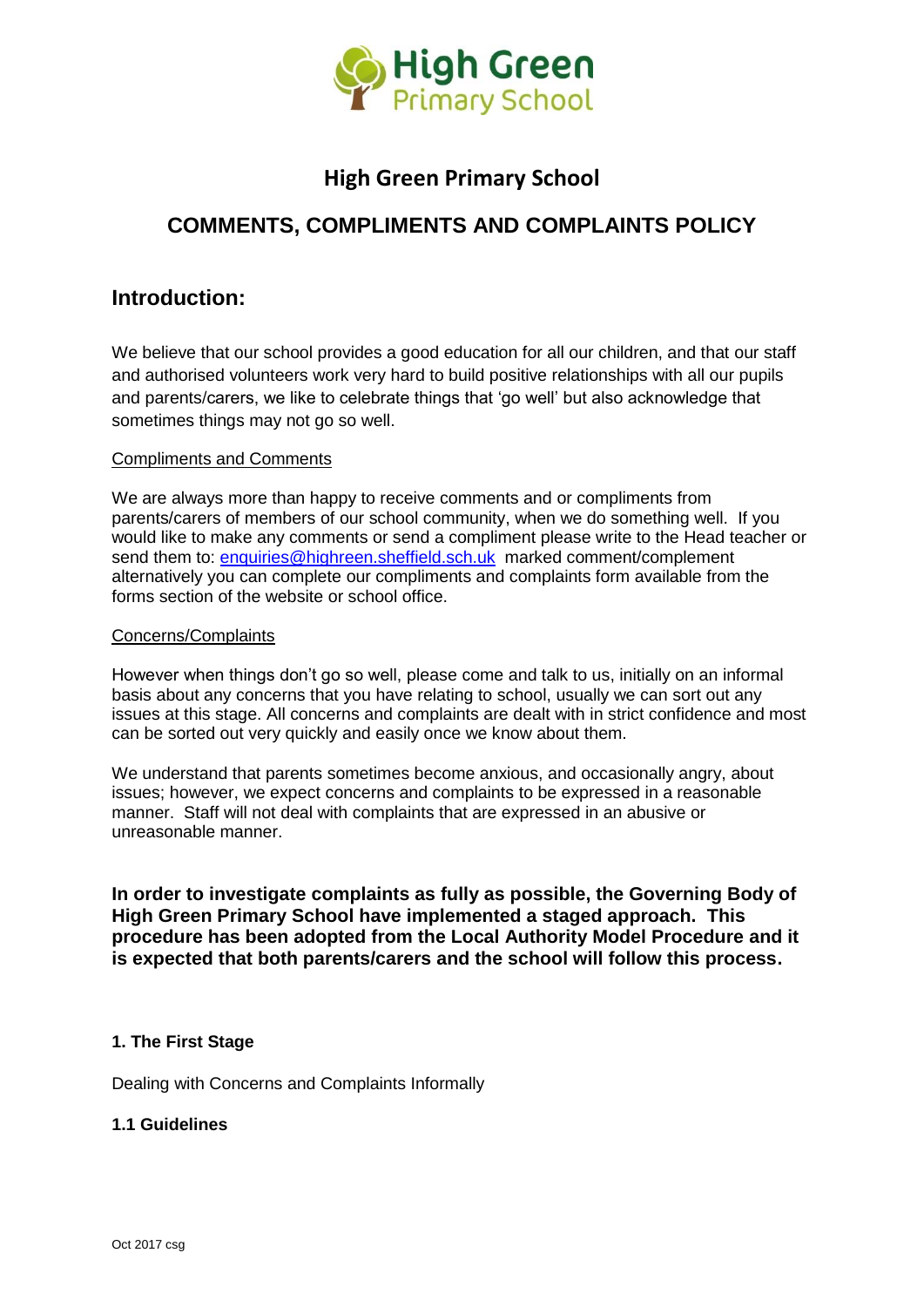

# **High Green Primary School**

# **COMMENTS, COMPLIMENTS AND COMPLAINTS POLICY**

# **Introduction:**

We believe that our school provides a good education for all our children, and that our staff and authorised volunteers work very hard to build positive relationships with all our pupils and parents/carers, we like to celebrate things that 'go well' but also acknowledge that sometimes things may not go so well.

#### Compliments and Comments

We are always more than happy to receive comments and or compliments from parents/carers of members of our school community, when we do something well. If you would like to make any comments or send a compliment please write to the Head teacher or send them to: [enquiries@highreen.sheffield.sch.uk](mailto:enquiries@highreen.sheffield.sch.uk) marked comment/complement alternatively you can complete our compliments and complaints form available from the forms section of the website or school office.

#### Concerns/Complaints

However when things don't go so well, please come and talk to us, initially on an informal basis about any concerns that you have relating to school, usually we can sort out any issues at this stage. All concerns and complaints are dealt with in strict confidence and most can be sorted out very quickly and easily once we know about them.

We understand that parents sometimes become anxious, and occasionally angry, about issues; however, we expect concerns and complaints to be expressed in a reasonable manner. Staff will not deal with complaints that are expressed in an abusive or unreasonable manner.

**In order to investigate complaints as fully as possible, the Governing Body of High Green Primary School have implemented a staged approach. This procedure has been adopted from the Local Authority Model Procedure and it is expected that both parents/carers and the school will follow this process.**

## **1. The First Stage**

Dealing with Concerns and Complaints Informally

#### **1.1 Guidelines**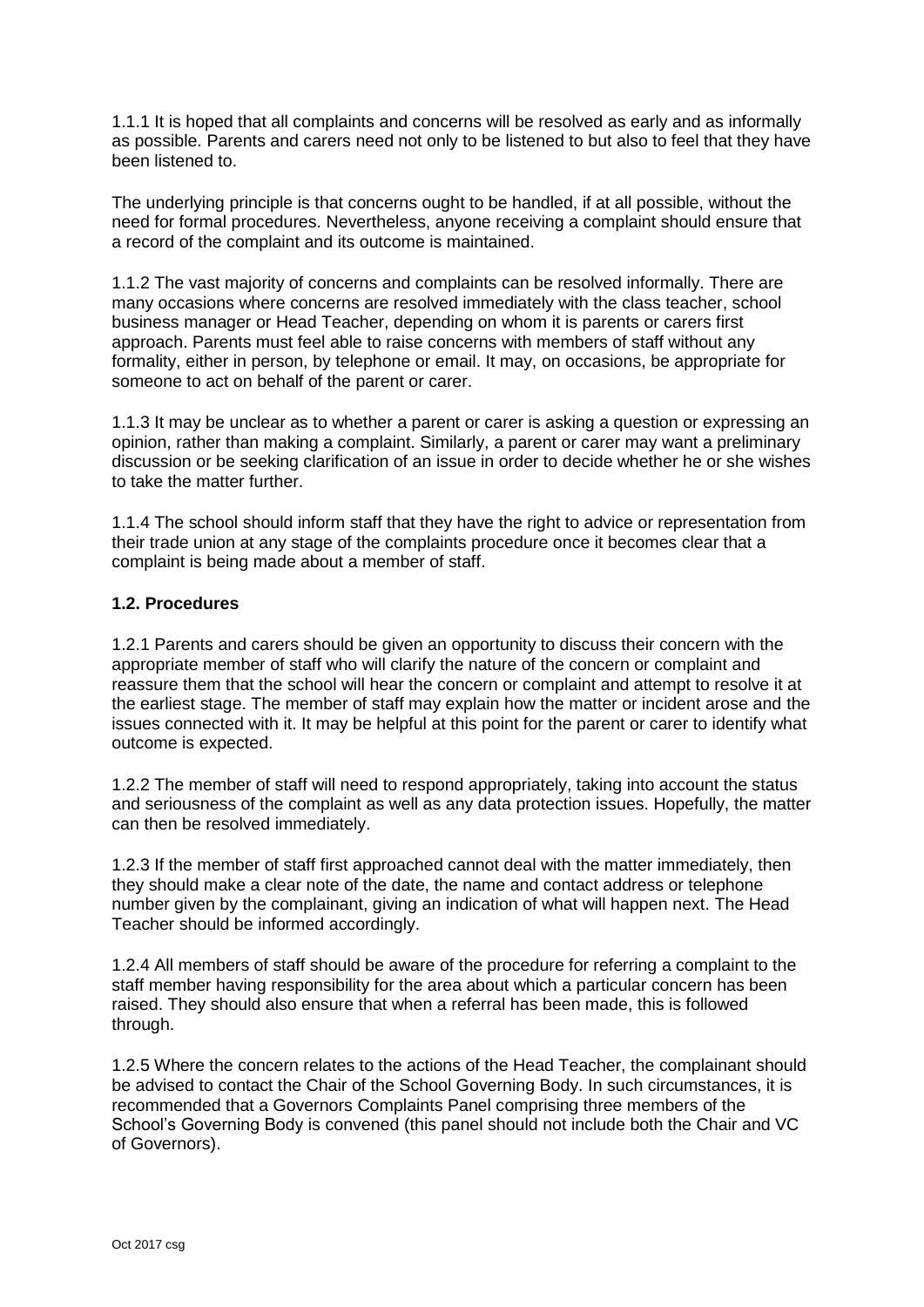1.1.1 It is hoped that all complaints and concerns will be resolved as early and as informally as possible. Parents and carers need not only to be listened to but also to feel that they have been listened to.

The underlying principle is that concerns ought to be handled, if at all possible, without the need for formal procedures. Nevertheless, anyone receiving a complaint should ensure that a record of the complaint and its outcome is maintained.

1.1.2 The vast majority of concerns and complaints can be resolved informally. There are many occasions where concerns are resolved immediately with the class teacher, school business manager or Head Teacher, depending on whom it is parents or carers first approach. Parents must feel able to raise concerns with members of staff without any formality, either in person, by telephone or email. It may, on occasions, be appropriate for someone to act on behalf of the parent or carer.

1.1.3 It may be unclear as to whether a parent or carer is asking a question or expressing an opinion, rather than making a complaint. Similarly, a parent or carer may want a preliminary discussion or be seeking clarification of an issue in order to decide whether he or she wishes to take the matter further.

1.1.4 The school should inform staff that they have the right to advice or representation from their trade union at any stage of the complaints procedure once it becomes clear that a complaint is being made about a member of staff.

### **1.2. Procedures**

1.2.1 Parents and carers should be given an opportunity to discuss their concern with the appropriate member of staff who will clarify the nature of the concern or complaint and reassure them that the school will hear the concern or complaint and attempt to resolve it at the earliest stage. The member of staff may explain how the matter or incident arose and the issues connected with it. It may be helpful at this point for the parent or carer to identify what outcome is expected.

1.2.2 The member of staff will need to respond appropriately, taking into account the status and seriousness of the complaint as well as any data protection issues. Hopefully, the matter can then be resolved immediately.

1.2.3 If the member of staff first approached cannot deal with the matter immediately, then they should make a clear note of the date, the name and contact address or telephone number given by the complainant, giving an indication of what will happen next. The Head Teacher should be informed accordingly.

1.2.4 All members of staff should be aware of the procedure for referring a complaint to the staff member having responsibility for the area about which a particular concern has been raised. They should also ensure that when a referral has been made, this is followed through.

1.2.5 Where the concern relates to the actions of the Head Teacher, the complainant should be advised to contact the Chair of the School Governing Body. In such circumstances, it is recommended that a Governors Complaints Panel comprising three members of the School's Governing Body is convened (this panel should not include both the Chair and VC of Governors).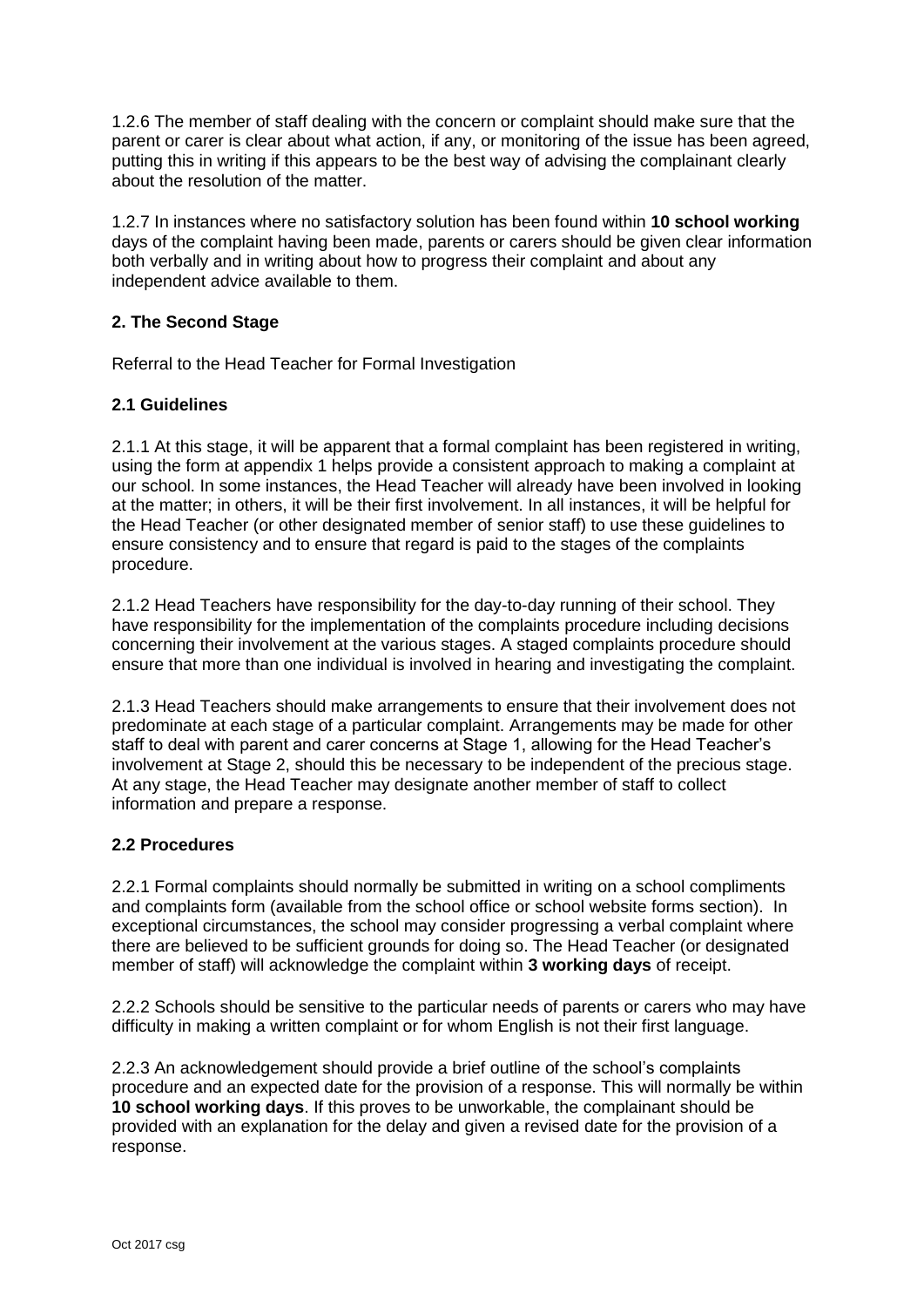1.2.6 The member of staff dealing with the concern or complaint should make sure that the parent or carer is clear about what action, if any, or monitoring of the issue has been agreed, putting this in writing if this appears to be the best way of advising the complainant clearly about the resolution of the matter.

1.2.7 In instances where no satisfactory solution has been found within **10 school working** days of the complaint having been made, parents or carers should be given clear information both verbally and in writing about how to progress their complaint and about any independent advice available to them.

### **2. The Second Stage**

Referral to the Head Teacher for Formal Investigation

#### **2.1 Guidelines**

2.1.1 At this stage, it will be apparent that a formal complaint has been registered in writing, using the form at appendix 1 helps provide a consistent approach to making a complaint at our school. In some instances, the Head Teacher will already have been involved in looking at the matter; in others, it will be their first involvement. In all instances, it will be helpful for the Head Teacher (or other designated member of senior staff) to use these guidelines to ensure consistency and to ensure that regard is paid to the stages of the complaints procedure.

2.1.2 Head Teachers have responsibility for the day-to-day running of their school. They have responsibility for the implementation of the complaints procedure including decisions concerning their involvement at the various stages. A staged complaints procedure should ensure that more than one individual is involved in hearing and investigating the complaint.

2.1.3 Head Teachers should make arrangements to ensure that their involvement does not predominate at each stage of a particular complaint. Arrangements may be made for other staff to deal with parent and carer concerns at Stage 1, allowing for the Head Teacher's involvement at Stage 2, should this be necessary to be independent of the precious stage. At any stage, the Head Teacher may designate another member of staff to collect information and prepare a response.

#### **2.2 Procedures**

2.2.1 Formal complaints should normally be submitted in writing on a school compliments and complaints form (available from the school office or school website forms section). In exceptional circumstances, the school may consider progressing a verbal complaint where there are believed to be sufficient grounds for doing so. The Head Teacher (or designated member of staff) will acknowledge the complaint within **3 working days** of receipt.

2.2.2 Schools should be sensitive to the particular needs of parents or carers who may have difficulty in making a written complaint or for whom English is not their first language.

2.2.3 An acknowledgement should provide a brief outline of the school's complaints procedure and an expected date for the provision of a response. This will normally be within **10 school working days**. If this proves to be unworkable, the complainant should be provided with an explanation for the delay and given a revised date for the provision of a response.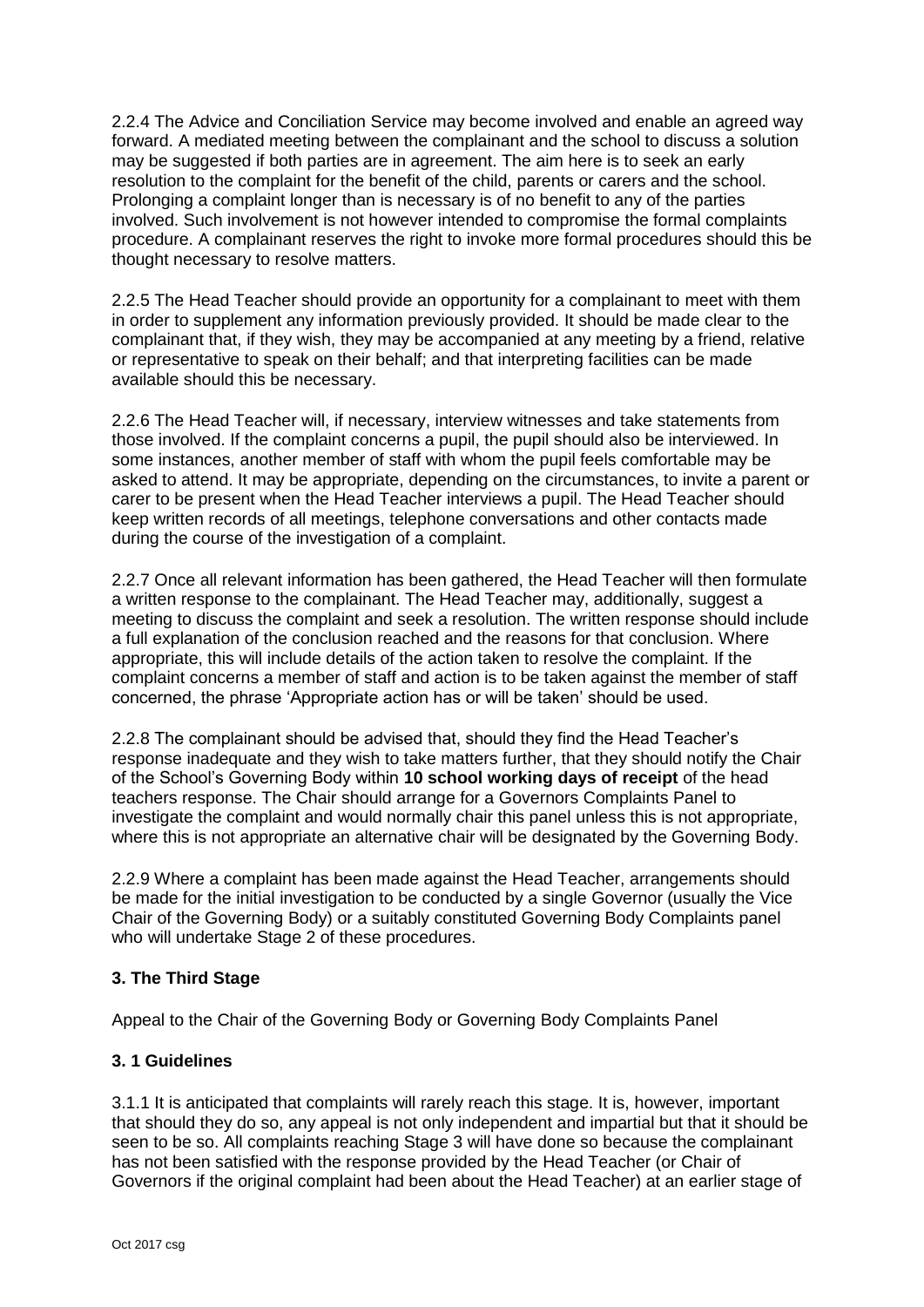2.2.4 The Advice and Conciliation Service may become involved and enable an agreed way forward. A mediated meeting between the complainant and the school to discuss a solution may be suggested if both parties are in agreement. The aim here is to seek an early resolution to the complaint for the benefit of the child, parents or carers and the school. Prolonging a complaint longer than is necessary is of no benefit to any of the parties involved. Such involvement is not however intended to compromise the formal complaints procedure. A complainant reserves the right to invoke more formal procedures should this be thought necessary to resolve matters.

2.2.5 The Head Teacher should provide an opportunity for a complainant to meet with them in order to supplement any information previously provided. It should be made clear to the complainant that, if they wish, they may be accompanied at any meeting by a friend, relative or representative to speak on their behalf; and that interpreting facilities can be made available should this be necessary.

2.2.6 The Head Teacher will, if necessary, interview witnesses and take statements from those involved. If the complaint concerns a pupil, the pupil should also be interviewed. In some instances, another member of staff with whom the pupil feels comfortable may be asked to attend. It may be appropriate, depending on the circumstances, to invite a parent or carer to be present when the Head Teacher interviews a pupil. The Head Teacher should keep written records of all meetings, telephone conversations and other contacts made during the course of the investigation of a complaint.

2.2.7 Once all relevant information has been gathered, the Head Teacher will then formulate a written response to the complainant. The Head Teacher may, additionally, suggest a meeting to discuss the complaint and seek a resolution. The written response should include a full explanation of the conclusion reached and the reasons for that conclusion. Where appropriate, this will include details of the action taken to resolve the complaint. If the complaint concerns a member of staff and action is to be taken against the member of staff concerned, the phrase 'Appropriate action has or will be taken' should be used.

2.2.8 The complainant should be advised that, should they find the Head Teacher's response inadequate and they wish to take matters further, that they should notify the Chair of the School's Governing Body within **10 school working days of receipt** of the head teachers response. The Chair should arrange for a Governors Complaints Panel to investigate the complaint and would normally chair this panel unless this is not appropriate, where this is not appropriate an alternative chair will be designated by the Governing Body.

2.2.9 Where a complaint has been made against the Head Teacher, arrangements should be made for the initial investigation to be conducted by a single Governor (usually the Vice Chair of the Governing Body) or a suitably constituted Governing Body Complaints panel who will undertake Stage 2 of these procedures.

#### **3. The Third Stage**

Appeal to the Chair of the Governing Body or Governing Body Complaints Panel

#### **3. 1 Guidelines**

3.1.1 It is anticipated that complaints will rarely reach this stage. It is, however, important that should they do so, any appeal is not only independent and impartial but that it should be seen to be so. All complaints reaching Stage 3 will have done so because the complainant has not been satisfied with the response provided by the Head Teacher (or Chair of Governors if the original complaint had been about the Head Teacher) at an earlier stage of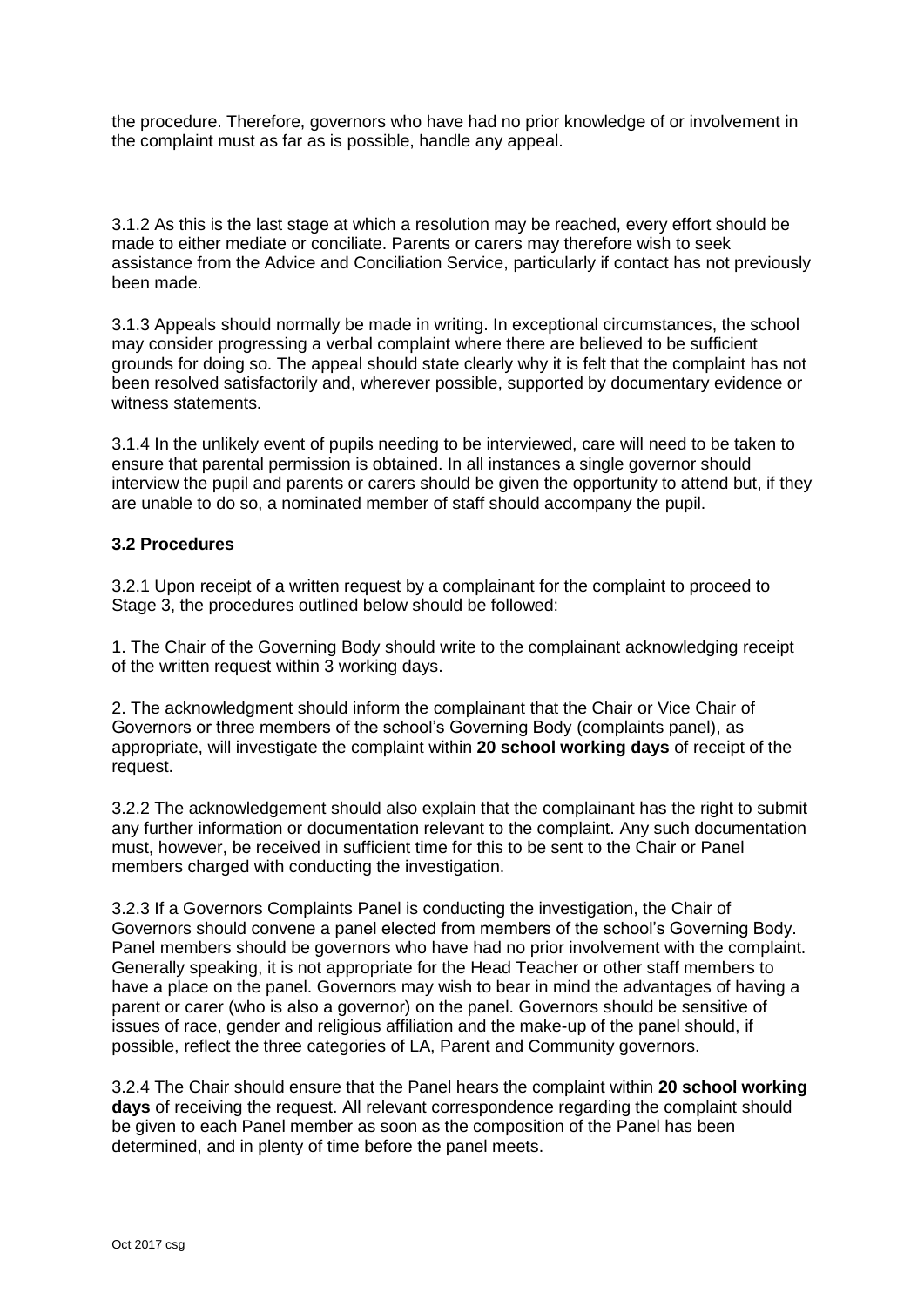the procedure. Therefore, governors who have had no prior knowledge of or involvement in the complaint must as far as is possible, handle any appeal.

3.1.2 As this is the last stage at which a resolution may be reached, every effort should be made to either mediate or conciliate. Parents or carers may therefore wish to seek assistance from the Advice and Conciliation Service, particularly if contact has not previously been made.

3.1.3 Appeals should normally be made in writing. In exceptional circumstances, the school may consider progressing a verbal complaint where there are believed to be sufficient grounds for doing so. The appeal should state clearly why it is felt that the complaint has not been resolved satisfactorily and, wherever possible, supported by documentary evidence or witness statements.

3.1.4 In the unlikely event of pupils needing to be interviewed, care will need to be taken to ensure that parental permission is obtained. In all instances a single governor should interview the pupil and parents or carers should be given the opportunity to attend but, if they are unable to do so, a nominated member of staff should accompany the pupil.

#### **3.2 Procedures**

3.2.1 Upon receipt of a written request by a complainant for the complaint to proceed to Stage 3, the procedures outlined below should be followed:

1. The Chair of the Governing Body should write to the complainant acknowledging receipt of the written request within 3 working days.

2. The acknowledgment should inform the complainant that the Chair or Vice Chair of Governors or three members of the school's Governing Body (complaints panel), as appropriate, will investigate the complaint within **20 school working days** of receipt of the request.

3.2.2 The acknowledgement should also explain that the complainant has the right to submit any further information or documentation relevant to the complaint. Any such documentation must, however, be received in sufficient time for this to be sent to the Chair or Panel members charged with conducting the investigation.

3.2.3 If a Governors Complaints Panel is conducting the investigation, the Chair of Governors should convene a panel elected from members of the school's Governing Body. Panel members should be governors who have had no prior involvement with the complaint. Generally speaking, it is not appropriate for the Head Teacher or other staff members to have a place on the panel. Governors may wish to bear in mind the advantages of having a parent or carer (who is also a governor) on the panel. Governors should be sensitive of issues of race, gender and religious affiliation and the make-up of the panel should, if possible, reflect the three categories of LA, Parent and Community governors.

3.2.4 The Chair should ensure that the Panel hears the complaint within **20 school working days** of receiving the request. All relevant correspondence regarding the complaint should be given to each Panel member as soon as the composition of the Panel has been determined, and in plenty of time before the panel meets.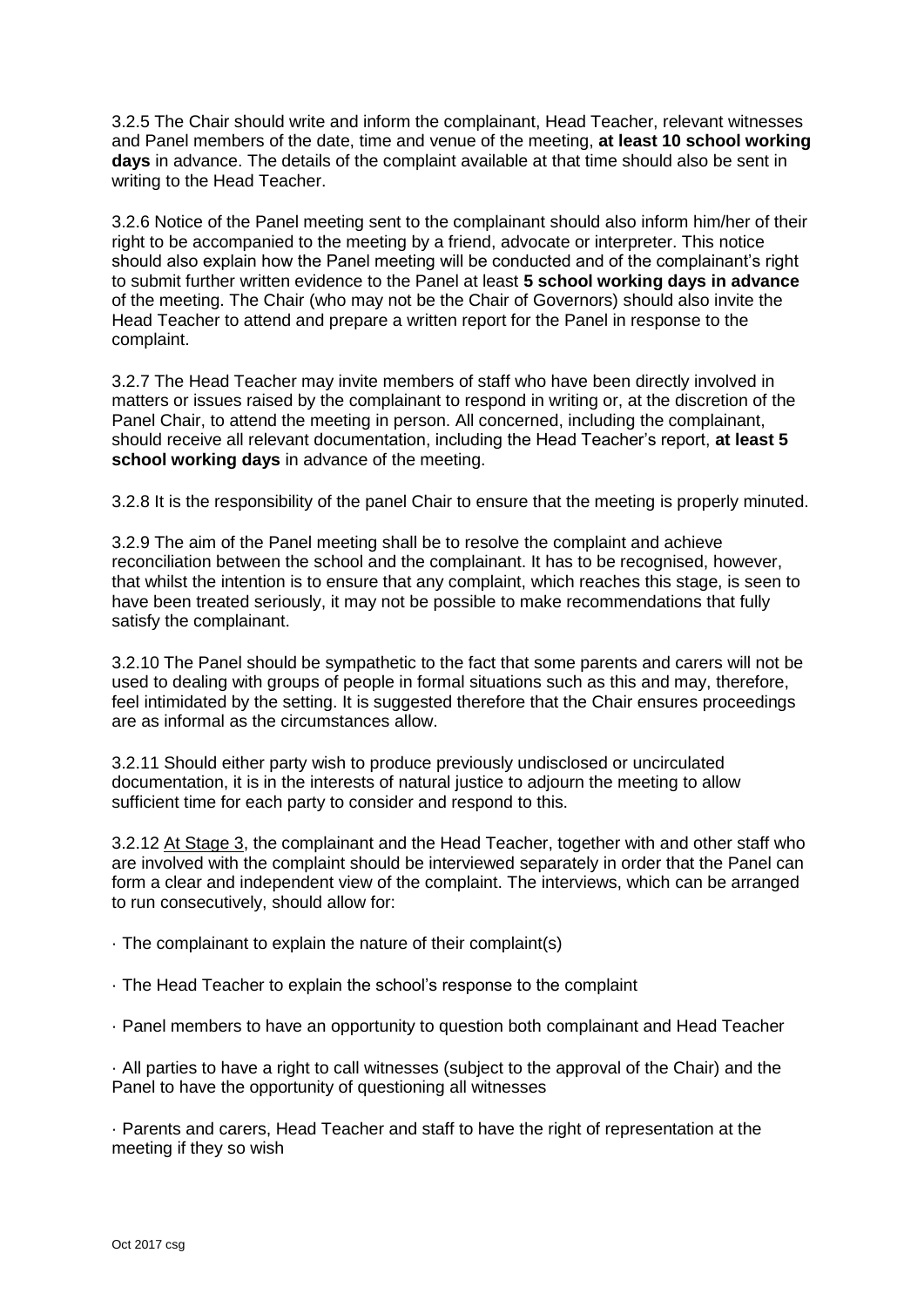3.2.5 The Chair should write and inform the complainant, Head Teacher, relevant witnesses and Panel members of the date, time and venue of the meeting, **at least 10 school working days** in advance. The details of the complaint available at that time should also be sent in writing to the Head Teacher.

3.2.6 Notice of the Panel meeting sent to the complainant should also inform him/her of their right to be accompanied to the meeting by a friend, advocate or interpreter. This notice should also explain how the Panel meeting will be conducted and of the complainant's right to submit further written evidence to the Panel at least **5 school working days in advance** of the meeting. The Chair (who may not be the Chair of Governors) should also invite the Head Teacher to attend and prepare a written report for the Panel in response to the complaint.

3.2.7 The Head Teacher may invite members of staff who have been directly involved in matters or issues raised by the complainant to respond in writing or, at the discretion of the Panel Chair, to attend the meeting in person. All concerned, including the complainant, should receive all relevant documentation, including the Head Teacher's report, **at least 5 school working days** in advance of the meeting.

3.2.8 It is the responsibility of the panel Chair to ensure that the meeting is properly minuted.

3.2.9 The aim of the Panel meeting shall be to resolve the complaint and achieve reconciliation between the school and the complainant. It has to be recognised, however, that whilst the intention is to ensure that any complaint, which reaches this stage, is seen to have been treated seriously, it may not be possible to make recommendations that fully satisfy the complainant.

3.2.10 The Panel should be sympathetic to the fact that some parents and carers will not be used to dealing with groups of people in formal situations such as this and may, therefore, feel intimidated by the setting. It is suggested therefore that the Chair ensures proceedings are as informal as the circumstances allow.

3.2.11 Should either party wish to produce previously undisclosed or uncirculated documentation, it is in the interests of natural justice to adjourn the meeting to allow sufficient time for each party to consider and respond to this.

3.2.12 At Stage 3, the complainant and the Head Teacher, together with and other staff who are involved with the complaint should be interviewed separately in order that the Panel can form a clear and independent view of the complaint. The interviews, which can be arranged to run consecutively, should allow for:

· The complainant to explain the nature of their complaint(s)

- · The Head Teacher to explain the school's response to the complaint
- · Panel members to have an opportunity to question both complainant and Head Teacher

· All parties to have a right to call witnesses (subject to the approval of the Chair) and the Panel to have the opportunity of questioning all witnesses

· Parents and carers, Head Teacher and staff to have the right of representation at the meeting if they so wish